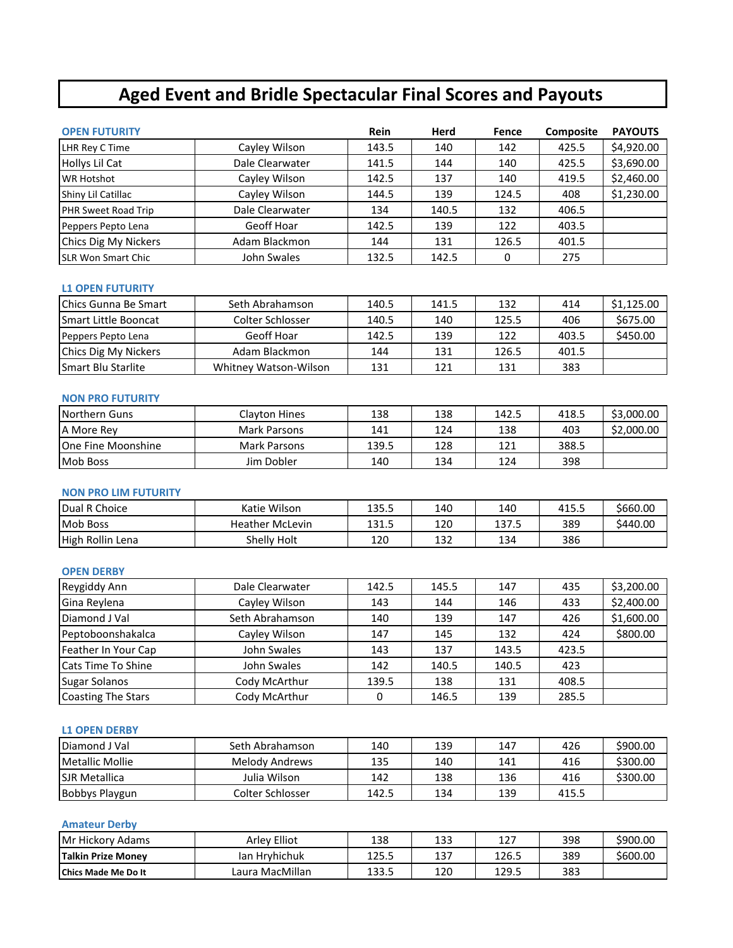# **Aged Event and Bridle Spectacular Final Scores and Payouts**

| <b>OPEN FUTURITY</b>      |                 | <b>Rein</b> | Herd  | Fence | <b>Composite</b> | <b>PAYOUTS</b> |
|---------------------------|-----------------|-------------|-------|-------|------------------|----------------|
| LHR Rey C Time            | Cayley Wilson   | 143.5       | 140   | 142   | 425.5            | \$4,920.00     |
| Hollys Lil Cat            | Dale Clearwater | 141.5       | 144   | 140   | 425.5            | \$3,690.00     |
| <b>WR Hotshot</b>         | Cayley Wilson   | 142.5       | 137   | 140   | 419.5            | \$2,460.00     |
| Shiny Lil Catillac        | Cayley Wilson   | 144.5       | 139   | 124.5 | 408              | \$1,230.00     |
| PHR Sweet Road Trip       | Dale Clearwater | 134         | 140.5 | 132   | 406.5            |                |
| Peppers Pepto Lena        | Geoff Hoar      | 142.5       | 139   | 122   | 403.5            |                |
| Chics Dig My Nickers      | Adam Blackmon   | 144         | 131   | 126.5 | 401.5            |                |
| <b>SLR Won Smart Chic</b> | John Swales     | 132.5       | 142.5 | 0     | 275              |                |

#### **L1 OPEN FUTURITY**

| Chics Gunna Be Smart      | Seth Abrahamson       | 140.5 | 141.5 | 132   | 414   | \$1,125.00 |
|---------------------------|-----------------------|-------|-------|-------|-------|------------|
| Smart Little Booncat      | Colter Schlosser      | 140.5 | 140   | 125.5 | 406   | \$675.00   |
| Peppers Pepto Lena        | Geoff Hoar            | 142.5 | 139   | 122   | 403.5 | \$450.00   |
| Chics Dig My Nickers      | Adam Blackmon         | 144   | 131   | 126.5 | 401.5 |            |
| <b>Smart Blu Starlite</b> | Whitney Watson-Wilson | 131   | 121   | 131   | 383   |            |

### **NON PRO FUTURITY**

| Northern Guns             | <b>Clayton Hines</b> | 138   | 138 | 142.5 | 418.5 | \$3,000.00 |
|---------------------------|----------------------|-------|-----|-------|-------|------------|
| A More Rev                | Mark Parsons         | 141   | 124 | 138   | 403   | \$2,000.00 |
| <b>One Fine Moonshine</b> | Mark Parsons         | 139.5 | 128 | 121   | 388.5 |            |
| <b>Mob Boss</b>           | Jim Dobler           | 140   | 134 | 124   | 398   |            |

#### **NON PRO LIM FUTURITY**

| Dual R Choice    | Katie Wilson       | 135.5          | 140        | 140   | 415.5 | \$660.00 |
|------------------|--------------------|----------------|------------|-------|-------|----------|
| <b>Mob Boss</b>  | Heather McLevin    | 121 に<br>⊥J⊥.J | 120        | 137.5 | 389   | \$440.00 |
| High Rollin Lena | <b>Shelly Holt</b> | 120            | ר רו<br>ᆦᄀ | 134   | 386   |          |

# **OPEN DERBY**

| Reygiddy Ann              | Dale Clearwater | 142.5 | 145.5 | 147   | 435   | \$3,200.00 |
|---------------------------|-----------------|-------|-------|-------|-------|------------|
| Gina Reylena              | Cayley Wilson   | 143   | 144   | 146   | 433   | \$2,400.00 |
| Diamond J Val             | Seth Abrahamson | 140   | 139   | 147   | 426   | \$1,600.00 |
| Peptoboonshakalca         | Cayley Wilson   | 147   | 145   | 132   | 424   | \$800.00   |
| Feather In Your Cap       | John Swales     | 143   | 137   | 143.5 | 423.5 |            |
| <b>Cats Time To Shine</b> | John Swales     | 142   | 140.5 | 140.5 | 423   |            |
| <b>Sugar Solanos</b>      | Cody McArthur   | 139.5 | 138   | 131   | 408.5 |            |
| <b>Coasting The Stars</b> | Cody McArthur   |       | 146.5 | 139   | 285.5 |            |

## **L1 OPEN DERBY**

| Diamond J Val         | Seth Abrahamson  | 140   | 139 | 147 | 426   | \$900.00 |
|-----------------------|------------------|-------|-----|-----|-------|----------|
| Metallic Mollie       | Melody Andrews   | 135   | 140 | 141 | 416   | \$300.00 |
| <b>SJR Metallica</b>  | Julia Wilson     | 142   | 138 | 136 | 416   | \$300.00 |
| <b>Bobbys Playgun</b> | Colter Schlosser | 142.5 | 134 | 139 | 415.5 |          |

## **Amateur Derby**

| Mr Hickory<br><sup>.</sup> Adams | Arlev Elliot         | 138   | 133 | 1 7 7<br>ᅩᄼ | 398 | \$900.00 |
|----------------------------------|----------------------|-------|-----|-------------|-----|----------|
| <b>Talkin Prize Monev</b>        | Hrvhichuk<br>lan     | 125.5 | 137 | 126.5       | 389 | \$600.00 |
| <b>Chics Made Me Do It</b>       | ı MacMillan<br>aura. | 133.5 | 120 | 129.5       | 383 |          |